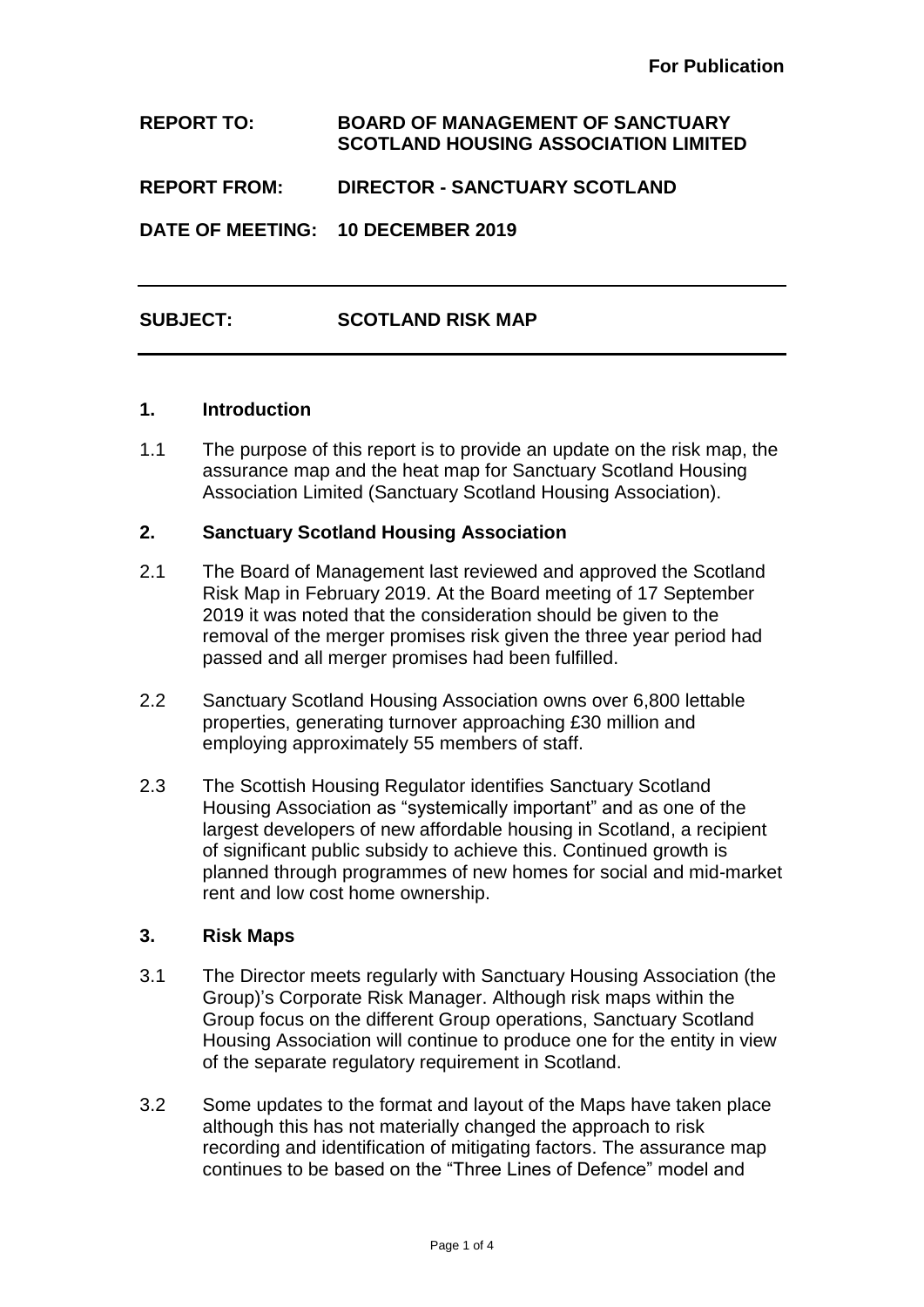**REPORT TO: BOARD OF MANAGEMENT OF SANCTUARY SCOTLAND HOUSING ASSOCIATION LIMITED**

**REPORT FROM: DIRECTOR - SANCTUARY SCOTLAND** 

**DATE OF MEETING: 10 DECEMBER 2019**

# **SUBJECT: SCOTLAND RISK MAP**

#### **1. Introduction**

1.1 The purpose of this report is to provide an update on the risk map, the assurance map and the heat map for Sanctuary Scotland Housing Association Limited (Sanctuary Scotland Housing Association).

#### **2. Sanctuary Scotland Housing Association**

- 2.1 The Board of Management last reviewed and approved the Scotland Risk Map in February 2019. At the Board meeting of 17 September 2019 it was noted that the consideration should be given to the removal of the merger promises risk given the three year period had passed and all merger promises had been fulfilled.
- 2.2 Sanctuary Scotland Housing Association owns over 6,800 lettable properties, generating turnover approaching £30 million and employing approximately 55 members of staff.
- 2.3 The Scottish Housing Regulator identifies Sanctuary Scotland Housing Association as "systemically important" and as one of the largest developers of new affordable housing in Scotland, a recipient of significant public subsidy to achieve this. Continued growth is planned through programmes of new homes for social and mid-market rent and low cost home ownership.

#### **3. Risk Maps**

- 3.1 The Director meets regularly with Sanctuary Housing Association (the Group)'s Corporate Risk Manager. Although risk maps within the Group focus on the different Group operations, Sanctuary Scotland Housing Association will continue to produce one for the entity in view of the separate regulatory requirement in Scotland.
- 3.2 Some updates to the format and layout of the Maps have taken place although this has not materially changed the approach to risk recording and identification of mitigating factors. The assurance map continues to be based on the "Three Lines of Defence" model and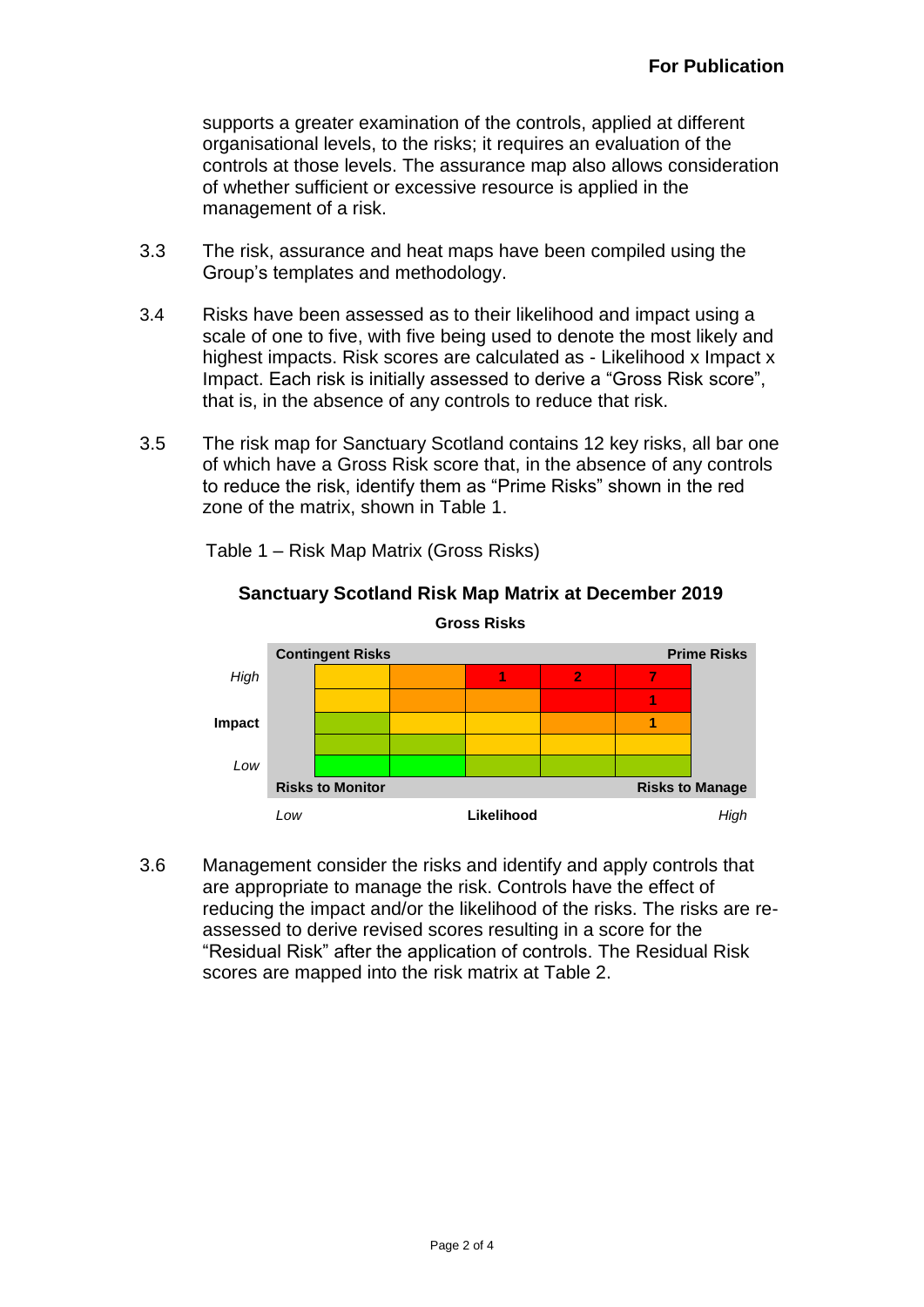supports a greater examination of the controls, applied at different organisational levels, to the risks; it requires an evaluation of the controls at those levels. The assurance map also allows consideration of whether sufficient or excessive resource is applied in the management of a risk.

- 3.3 The risk, assurance and heat maps have been compiled using the Group's templates and methodology.
- 3.4 Risks have been assessed as to their likelihood and impact using a scale of one to five, with five being used to denote the most likely and highest impacts. Risk scores are calculated as - Likelihood x Impact x Impact. Each risk is initially assessed to derive a "Gross Risk score", that is, in the absence of any controls to reduce that risk.
- 3.5 The risk map for Sanctuary Scotland contains 12 key risks, all bar one of which have a Gross Risk score that, in the absence of any controls to reduce the risk, identify them as "Prime Risks" shown in the red zone of the matrix, shown in Table 1.



Table 1 – Risk Map Matrix (Gross Risks)

3.6 Management consider the risks and identify and apply controls that are appropriate to manage the risk. Controls have the effect of reducing the impact and/or the likelihood of the risks. The risks are reassessed to derive revised scores resulting in a score for the "Residual Risk" after the application of controls. The Residual Risk scores are mapped into the risk matrix at Table 2.

# **Sanctuary Scotland Risk Map Matrix at December 2019**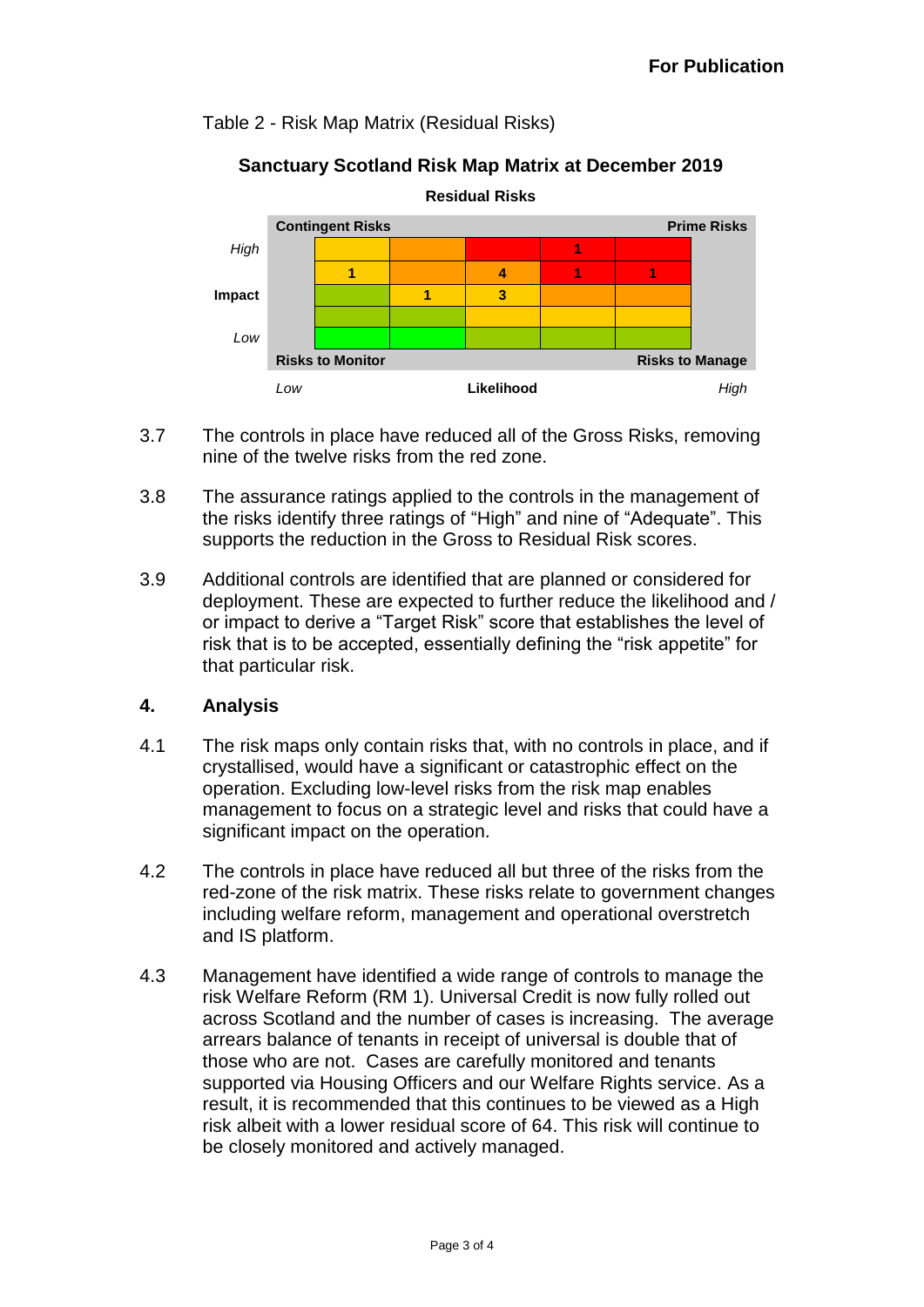# Table 2 - Risk Map Matrix (Residual Risks)

# **Sanctuary Scotland Risk Map Matrix at December 2019**



- 3.7 The controls in place have reduced all of the Gross Risks, removing nine of the twelve risks from the red zone.
- 3.8 The assurance ratings applied to the controls in the management of the risks identify three ratings of "High" and nine of "Adequate". This supports the reduction in the Gross to Residual Risk scores.
- 3.9 Additional controls are identified that are planned or considered for deployment. These are expected to further reduce the likelihood and / or impact to derive a "Target Risk" score that establishes the level of risk that is to be accepted, essentially defining the "risk appetite" for that particular risk.

### **4. Analysis**

- 4.1 The risk maps only contain risks that, with no controls in place, and if crystallised, would have a significant or catastrophic effect on the operation. Excluding low-level risks from the risk map enables management to focus on a strategic level and risks that could have a significant impact on the operation.
- 4.2 The controls in place have reduced all but three of the risks from the red-zone of the risk matrix. These risks relate to government changes including welfare reform, management and operational overstretch and IS platform.
- 4.3 Management have identified a wide range of controls to manage the risk Welfare Reform (RM 1). Universal Credit is now fully rolled out across Scotland and the number of cases is increasing. The average arrears balance of tenants in receipt of universal is double that of those who are not. Cases are carefully monitored and tenants supported via Housing Officers and our Welfare Rights service. As a result, it is recommended that this continues to be viewed as a High risk albeit with a lower residual score of 64. This risk will continue to be closely monitored and actively managed.